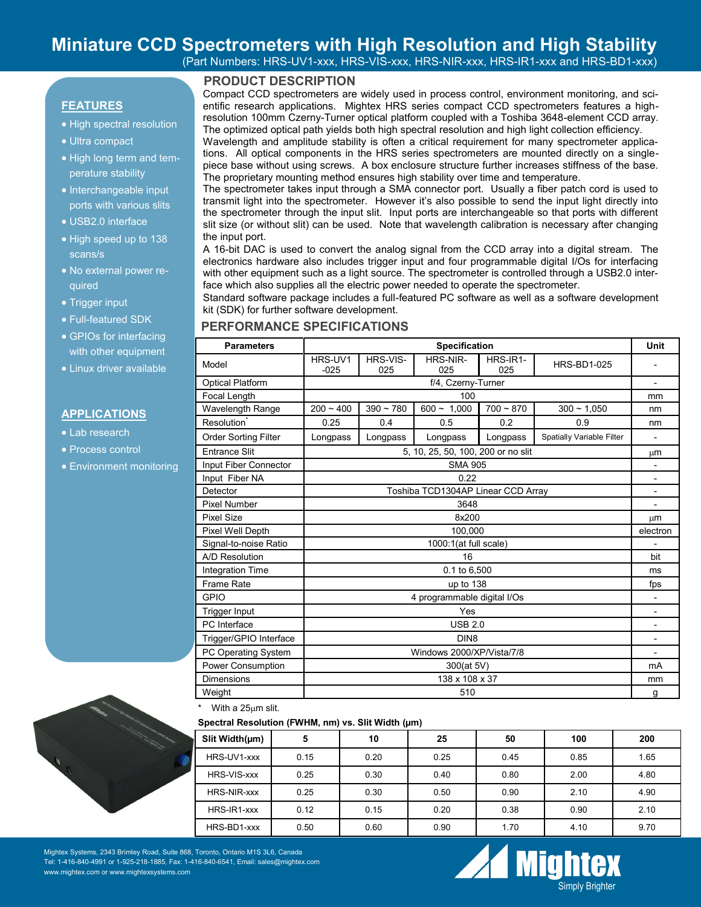# **Miniature CCD Spectrometers with High Resolution and High Stability**

(Part Numbers: HRS-UV1-xxx, HRS-VIS-xxx, HRS-NIR-xxx, HRS-IR1-xxx and HRS-BD1-xxx)

# **PRODUCT DESCRIPTION**

**FEATURES**

- High spectral resolution
- Ultra compact
- High long term and temperature stability
- Interchangeable input ports with various slits
- USB2.0 interface
- High speed up to 138 scans/s
- No external power required
- Trigger input
- Full-featured SDK
- GPIOs for interfacing with other equipment
- Linux driver available

#### **APPLICATIONS**

- Lab research
- Process control
- Environment monitoring



Wavelength and amplitude stability is often a critical requirement for many spectrometer applications. All optical components in the HRS series spectrometers are mounted directly on a singlepiece base without using screws. A box enclosure structure further increases stiffness of the base. The proprietary mounting method ensures high stability over time and temperature.

The spectrometer takes input through a SMA connector port. Usually a fiber patch cord is used to transmit light into the spectrometer. However it's also possible to send the input light directly into the spectrometer through the input slit. Input ports are interchangeable so that ports with different slit size (or without slit) can be used. Note that wavelength calibration is necessary after changing the input port.

A 16-bit DAC is used to convert the analog signal from the CCD array into a digital stream. The electronics hardware also includes trigger input and four programmable digital I/Os for interfacing with other equipment such as a light source. The spectrometer is controlled through a USB2.0 interface which also supplies all the electric power needed to operate the spectrometer.

Standard software package includes a full-featured PC software as well as a software development kit (SDK) for further software development.

## **PERFORMANCE SPECIFICATIONS**

| <b>Parameters</b>           | <b>Specification</b>               |                 |                 |                 |                           |                          |  |
|-----------------------------|------------------------------------|-----------------|-----------------|-----------------|---------------------------|--------------------------|--|
| Model                       | HRS-UV1<br>$-025$                  | HRS-VIS-<br>025 | HRS-NIR-<br>025 | HRS-IR1-<br>025 | <b>HRS-BD1-025</b>        |                          |  |
| <b>Optical Platform</b>     | f/4, Czerny-Turner                 |                 |                 |                 |                           |                          |  |
| Focal Length                | 100                                |                 |                 |                 |                           |                          |  |
| Wavelength Range            | $200 - 400$                        | $390 - 780$     | $600 - 1,000$   | $700 - 870$     | $300 - 1.050$             | nm                       |  |
| Resolution <sup>®</sup>     | 0.25                               | 0.4             | 0.5             | 0.2             | 0.9                       | nm                       |  |
| <b>Order Sorting Filter</b> | Longpass                           | Longpass        | Longpass        | Longpass        | Spatially Variable Filter | $\overline{\phantom{0}}$ |  |
| <b>Entrance Slit</b>        | 5, 10, 25, 50, 100, 200 or no slit |                 |                 |                 |                           |                          |  |
| Input Fiber Connector       | <b>SMA 905</b>                     |                 |                 |                 |                           |                          |  |
| Input Fiber NA              | 0.22                               |                 |                 |                 |                           |                          |  |
| Detector                    | Toshiba TCD1304AP Linear CCD Array |                 |                 |                 |                           |                          |  |
| Pixel Number                | 3648                               |                 |                 |                 |                           |                          |  |
| <b>Pixel Size</b>           | 8x200                              |                 |                 |                 |                           |                          |  |
| Pixel Well Depth            | 100,000                            |                 |                 |                 |                           |                          |  |
| Signal-to-noise Ratio       | 1000:1(at full scale)              |                 |                 |                 |                           |                          |  |
| A/D Resolution              | 16                                 |                 |                 |                 |                           |                          |  |
| Integration Time            | 0.1 to 6,500                       |                 |                 |                 |                           |                          |  |
| Frame Rate                  | up to 138                          |                 |                 |                 |                           |                          |  |
| <b>GPIO</b>                 | 4 programmable digital I/Os        |                 |                 |                 |                           |                          |  |
| <b>Trigger Input</b>        | Yes                                |                 |                 |                 |                           |                          |  |
| PC Interface                | <b>USB 2.0</b>                     |                 |                 |                 |                           |                          |  |
| Trigger/GPIO Interface      | DIN <sub>8</sub>                   |                 |                 |                 |                           |                          |  |
| PC Operating System         | Windows 2000/XP/Vista/7/8          |                 |                 |                 |                           |                          |  |
| Power Consumption           | 300(at 5V)                         |                 |                 |                 |                           |                          |  |
| <b>Dimensions</b>           | 138 x 108 x 37                     |                 |                 |                 |                           |                          |  |
| Weight                      | 510                                |                 |                 |                 |                           |                          |  |

With a 25um slit.

#### **Spectral Resolution (FWHM, nm) vs. Slit Width (µm)**

| Slit Width( $\mu$ m) | 5    | 10   | 25   | 50   | 100  | 200  |
|----------------------|------|------|------|------|------|------|
| HRS-UV1-xxx          | 0.15 | 0.20 | 0.25 | 0.45 | 0.85 | 1.65 |
| HRS-VIS-xxx          | 0.25 | 0.30 | 0.40 | 0.80 | 2.00 | 4.80 |
| <b>HRS-NIR-xxx</b>   | 0.25 | 0.30 | 0.50 | 0.90 | 2.10 | 4.90 |
| HRS-IR1-xxx          | 0.12 | 0.15 | 0.20 | 0.38 | 0.90 | 2.10 |
| HRS-BD1-xxx          | 0.50 | 0.60 | 0.90 | 1.70 | 4.10 | 9.70 |



Mightex Systems, 2343 Brimley Road, Suite 868, Toronto, Ontario M1S 3L6, Canada Tel: 1-416-840-4991 or 1-925-218-1885, Fax: 1-416-840-6541, Email: sales@mightex.com www.mightex.com or www.mightexsystems.com